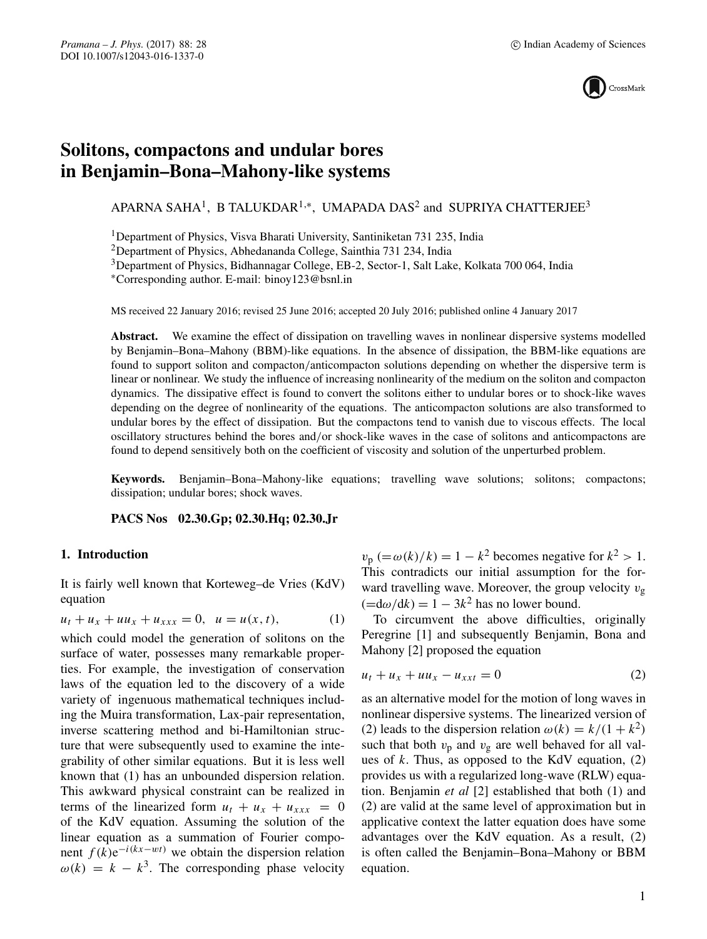

# **Solitons, compactons and undular bores in Benjamin–Bona–Mahony-like systems**

APARNA SAHA<sup>1</sup>, B TALUKDAR<sup>1,\*</sup>, UMAPADA DAS<sup>2</sup> and SUPRIYA CHATTERJEE<sup>3</sup>

1Department of Physics, Visva Bharati University, Santiniketan 731 235, India

2Department of Physics, Abhedananda College, Sainthia 731 234, India

3Department of Physics, Bidhannagar College, EB-2, Sector-1, Salt Lake, Kolkata 700 064, India

∗Corresponding author. E-mail: binoy123@bsnl.in

MS received 22 January 2016; revised 25 June 2016; accepted 20 July 2016; published online 4 January 2017

**Abstract.** We examine the effect of dissipation on travelling waves in nonlinear dispersive systems modelled by Benjamin–Bona–Mahony (BBM)-like equations. In the absence of dissipation, the BBM-like equations are found to support soliton and compacton/anticompacton solutions depending on whether the dispersive term is linear or nonlinear. We study the influence of increasing nonlinearity of the medium on the soliton and compacton dynamics. The dissipative effect is found to convert the solitons either to undular bores or to shock-like waves depending on the degree of nonlinearity of the equations. The anticompacton solutions are also transformed to undular bores by the effect of dissipation. But the compactons tend to vanish due to viscous effects. The local oscillatory structures behind the bores and/or shock-like waves in the case of solitons and anticompactons are found to depend sensitively both on the coefficient of viscosity and solution of the unperturbed problem.

**Keywords.** Benjamin–Bona–Mahony-like equations; travelling wave solutions; solitons; compactons; dissipation; undular bores; shock waves.

**PACS Nos 02.30.Gp; 02.30.Hq; 02.30.Jr**

# **1. Introduction**

It is fairly well known that Korteweg–de Vries (KdV) equation

$$
u_t + u_x + u u_x + u_{xxx} = 0, \ \ u = u(x, t), \tag{1}
$$

which could model the generation of solitons on the surface of water, possesses many remarkable properties. For example, the investigation of conservation laws of the equation led to the discovery of a wide variety of ingenuous mathematical techniques including the Muira transformation, Lax-pair representation, inverse scattering method and bi-Hamiltonian structure that were subsequently used to examine the integrability of other similar equations. But it is less well known that (1) has an unbounded dispersion relation. This awkward physical constraint can be realized in terms of the linearized form  $u_t + u_x + u_{xxx} = 0$ of the KdV equation. Assuming the solution of the linear equation as a summation of Fourier component  $f(k)e^{-i(kx-wt)}$  we obtain the dispersion relation  $\omega(k) = k - k^3$ . The corresponding phase velocity  $v_p (= \omega(k)/k) = 1 - k^2$  becomes negative for  $k^2 > 1$ . This contradicts our initial assumption for the forward travelling wave. Moreover, the group velocity  $v_{\rm g}$  $(=\frac{d\omega}{dk}) = 1 - 3k^2$  has no lower bound.

To circumvent the above difficulties, originally Peregrine [1] and subsequently Benjamin, Bona and Mahony [2] proposed the equation

$$
u_t + u_x + uu_x - u_{xxt} = 0 \tag{2}
$$

as an alternative model for the motion of long waves in nonlinear dispersive systems. The linearized version of (2) leads to the dispersion relation  $\omega(k) = k/(1 + k^2)$ such that both  $v_p$  and  $v_g$  are well behaved for all values of  $k$ . Thus, as opposed to the KdV equation,  $(2)$ provides us with a regularized long-wave (RLW) equation. Benjamin *et al* [2] established that both (1) and (2) are valid at the same level of approximation but in applicative context the latter equation does have some advantages over the KdV equation. As a result, (2) is often called the Benjamin–Bona–Mahony or BBM equation.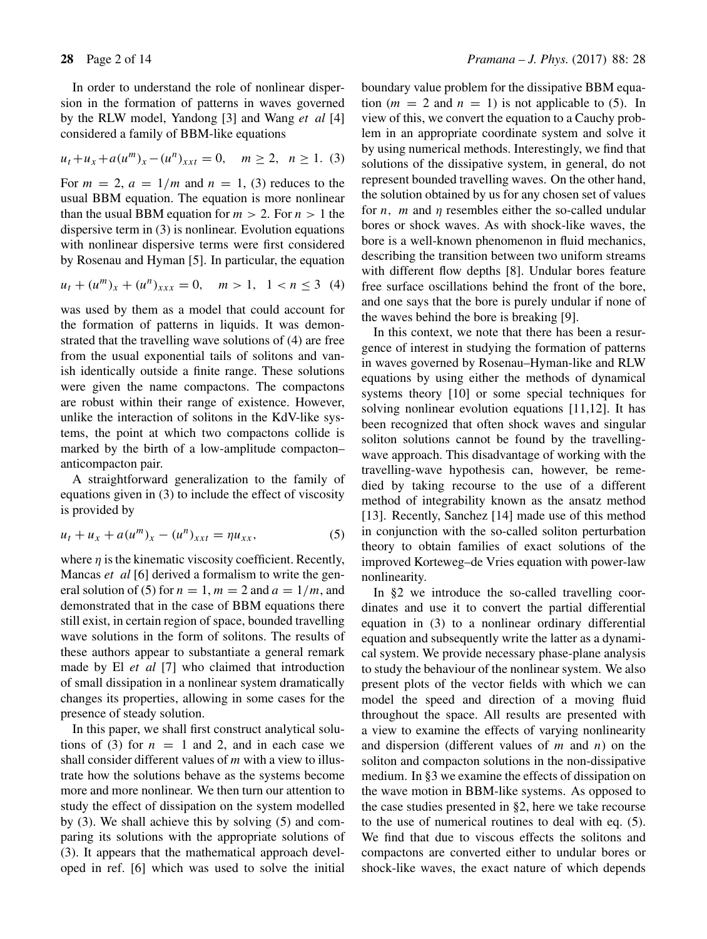In order to understand the role of nonlinear dispersion in the formation of patterns in waves governed by the RLW model, Yandong [3] and Wang *et al* [4] considered a family of BBM-like equations

$$
u_t + u_x + a(u^m)_x - (u^n)_{xxt} = 0, \quad m \ge 2, \ n \ge 1. \tag{3}
$$

For  $m = 2$ ,  $a = 1/m$  and  $n = 1$ , (3) reduces to the usual BBM equation. The equation is more nonlinear than the usual BBM equation for  $m > 2$ . For  $n > 1$  the dispersive term in (3) is nonlinear. Evolution equations with nonlinear dispersive terms were first considered by Rosenau and Hyman [5]. In particular, the equation

$$
u_t + (u^m)_x + (u^n)_{xxx} = 0, \quad m > 1, \quad 1 < n \le 3 \tag{4}
$$

was used by them as a model that could account for the formation of patterns in liquids. It was demonstrated that the travelling wave solutions of (4) are free from the usual exponential tails of solitons and vanish identically outside a finite range. These solutions were given the name compactons. The compactons are robust within their range of existence. However, unlike the interaction of solitons in the KdV-like systems, the point at which two compactons collide is marked by the birth of a low-amplitude compacton– anticompacton pair.

A straightforward generalization to the family of equations given in (3) to include the effect of viscosity is provided by

$$
u_t + u_x + a(u^m)_x - (u^n)_{xxt} = \eta u_{xx},
$$
 (5)

where  $\eta$  is the kinematic viscosity coefficient. Recently, Mancas *et al* [6] derived a formalism to write the general solution of (5) for  $n = 1$ ,  $m = 2$  and  $a = 1/m$ , and demonstrated that in the case of BBM equations there still exist, in certain region of space, bounded travelling wave solutions in the form of solitons. The results of these authors appear to substantiate a general remark made by El *et al* [7] who claimed that introduction of small dissipation in a nonlinear system dramatically changes its properties, allowing in some cases for the presence of steady solution.

In this paper, we shall first construct analytical solutions of (3) for  $n = 1$  and 2, and in each case we shall consider different values of  $m$  with a view to illustrate how the solutions behave as the systems become more and more nonlinear. We then turn our attention to study the effect of dissipation on the system modelled by (3). We shall achieve this by solving (5) and comparing its solutions with the appropriate solutions of (3). It appears that the mathematical approach developed in ref. [6] which was used to solve the initial boundary value problem for the dissipative BBM equation ( $m = 2$  and  $n = 1$ ) is not applicable to (5). In view of this, we convert the equation to a Cauchy problem in an appropriate coordinate system and solve it by using numerical methods. Interestingly, we find that solutions of the dissipative system, in general, do not represent bounded travelling waves. On the other hand, the solution obtained by us for any chosen set of values for *n*, *m* and *n* resembles either the so-called undular bores or shock waves. As with shock-like waves, the bore is a well-known phenomenon in fluid mechanics, describing the transition between two uniform streams with different flow depths [8]. Undular bores feature free surface oscillations behind the front of the bore, and one says that the bore is purely undular if none of the waves behind the bore is breaking [9].

In this context, we note that there has been a resurgence of interest in studying the formation of patterns in waves governed by Rosenau–Hyman-like and RLW equations by using either the methods of dynamical systems theory [10] or some special techniques for solving nonlinear evolution equations [11,12]. It has been recognized that often shock waves and singular soliton solutions cannot be found by the travellingwave approach. This disadvantage of working with the travelling-wave hypothesis can, however, be remedied by taking recourse to the use of a different method of integrability known as the ansatz method [13]. Recently, Sanchez [14] made use of this method in conjunction with the so-called soliton perturbation theory to obtain families of exact solutions of the improved Korteweg–de Vries equation with power-law nonlinearity.

In §2 we introduce the so-called travelling coordinates and use it to convert the partial differential equation in (3) to a nonlinear ordinary differential equation and subsequently write the latter as a dynamical system. We provide necessary phase-plane analysis to study the behaviour of the nonlinear system. We also present plots of the vector fields with which we can model the speed and direction of a moving fluid throughout the space. All results are presented with a view to examine the effects of varying nonlinearity and dispersion (different values of  $m$  and  $n$ ) on the soliton and compacton solutions in the non-dissipative medium. In §3 we examine the effects of dissipation on the wave motion in BBM-like systems. As opposed to the case studies presented in §2, here we take recourse to the use of numerical routines to deal with eq. (5). We find that due to viscous effects the solitons and compactons are converted either to undular bores or shock-like waves, the exact nature of which depends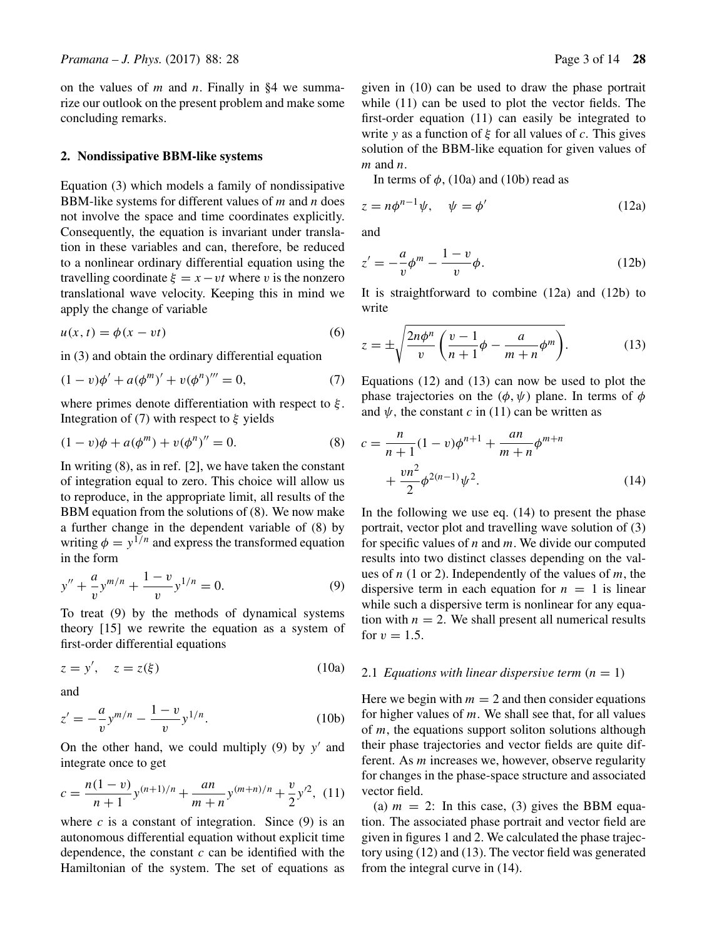on the values of  $m$  and  $n$ . Finally in §4 we summarize our outlook on the present problem and make some concluding remarks.

# **2. Nondissipative BBM-like systems**

Equation (3) which models a family of nondissipative BBM-like systems for different values of  $m$  and  $n$  does not involve the space and time coordinates explicitly. Consequently, the equation is invariant under translation in these variables and can, therefore, be reduced to a nonlinear ordinary differential equation using the travelling coordinate  $\xi = x - vt$  where v is the nonzero translational wave velocity. Keeping this in mind we apply the change of variable

$$
u(x, t) = \phi(x - vt) \tag{6}
$$

in (3) and obtain the ordinary differential equation

$$
(1 - v)\phi' + a(\phi^m)' + v(\phi^n)''' = 0,
$$
\n(7)

where primes denote differentiation with respect to  $\xi$ . Integration of (7) with respect to  $\xi$  yields

$$
(1 - v)\phi + a(\phi^m) + v(\phi^n)'' = 0.
$$
 (8)

In writing (8), as in ref. [2], we have taken the constant of integration equal to zero. This choice will allow us to reproduce, in the appropriate limit, all results of the BBM equation from the solutions of (8). We now make a further change in the dependent variable of (8) by writing  $\phi = y^{1/n}$  and express the transformed equation in the form

$$
y'' + \frac{a}{v}y^{m/n} + \frac{1-v}{v}y^{1/n} = 0.
$$
 (9)

To treat (9) by the methods of dynamical systems theory [15] we rewrite the equation as a system of first-order differential equations

$$
z = y', \quad z = z(\xi) \tag{10a}
$$

and

$$
z' = -\frac{a}{v} y^{m/n} - \frac{1-v}{v} y^{1/n}.
$$
 (10b)

On the other hand, we could multiply  $(9)$  by y' and integrate once to get

$$
c = \frac{n(1-v)}{n+1}y^{(n+1)/n} + \frac{an}{m+n}y^{(m+n)/n} + \frac{v}{2}y^{2},
$$
 (11)

where  $c$  is a constant of integration. Since (9) is an autonomous differential equation without explicit time dependence, the constant  $c$  can be identified with the Hamiltonian of the system. The set of equations as given in (10) can be used to draw the phase portrait while (11) can be used to plot the vector fields. The first-order equation (11) can easily be integrated to write y as a function of  $\xi$  for all values of c. This gives solution of the BBM-like equation for given values of  $m$  and  $n$ .

In terms of  $\phi$ , (10a) and (10b) read as

$$
z = n\phi^{n-1}\psi, \quad \psi = \phi'
$$
 (12a)

and

$$
z' = -\frac{a}{v}\phi^m - \frac{1-v}{v}\phi.
$$
 (12b)

It is straightforward to combine (12a) and (12b) to write

$$
z = \pm \sqrt{\frac{2n\phi^n}{v} \left( \frac{v-1}{n+1} \phi - \frac{a}{m+n} \phi^m \right)}.
$$
 (13)

Equations (12) and (13) can now be used to plot the phase trajectories on the  $(\phi, \psi)$  plane. In terms of  $\phi$ and  $\psi$ , the constant c in (11) can be written as

$$
c = \frac{n}{n+1}(1-v)\phi^{n+1} + \frac{an}{m+n}\phi^{m+n} + \frac{vn^2}{2}\phi^{2(n-1)}\psi^2.
$$
 (14)

In the following we use eq. (14) to present the phase portrait, vector plot and travelling wave solution of (3) for specific values of  $n$  and  $m$ . We divide our computed results into two distinct classes depending on the values of  $n$  (1 or 2). Independently of the values of  $m$ , the dispersive term in each equation for  $n = 1$  is linear while such a dispersive term is nonlinear for any equation with  $n = 2$ . We shall present all numerical results for  $v = 1.5$ .

# 2.1 *Equations with linear dispersive term*  $(n = 1)$

Here we begin with  $m = 2$  and then consider equations for higher values of  $m$ . We shall see that, for all values of  $m$ , the equations support soliton solutions although their phase trajectories and vector fields are quite different. As m increases we, however, observe regularity for changes in the phase-space structure and associated vector field.

(a)  $m = 2$ : In this case, (3) gives the BBM equation. The associated phase portrait and vector field are given in figures 1 and 2. We calculated the phase trajectory using (12) and (13). The vector field was generated from the integral curve in (14).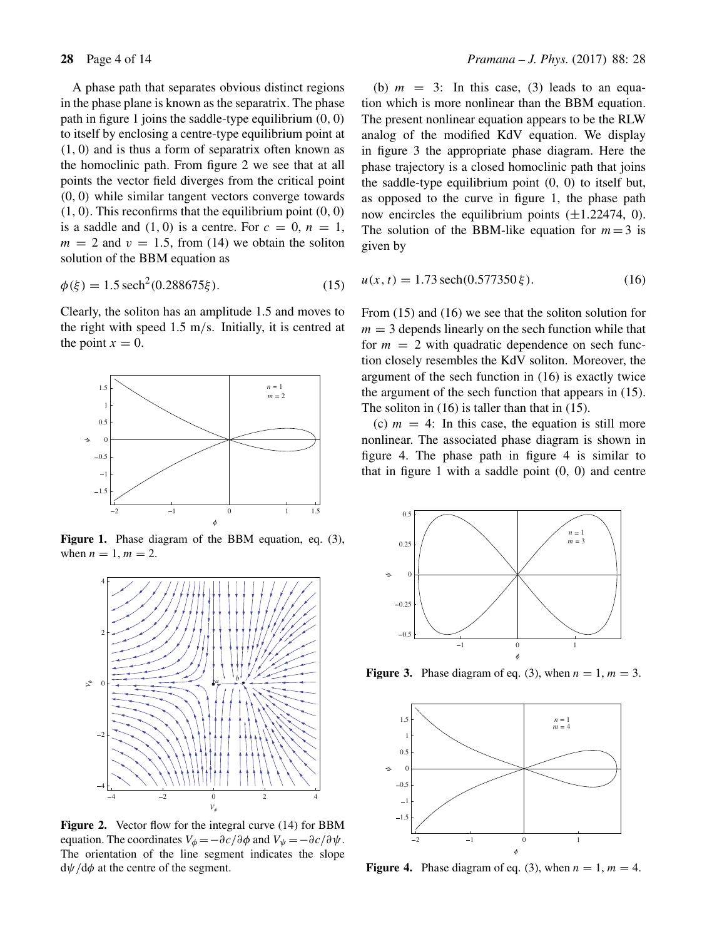A phase path that separates obvious distinct regions in the phase plane is known as the separatrix. The phase path in figure 1 joins the saddle-type equilibrium (0, 0) to itself by enclosing a centre-type equilibrium point at (1, 0) and is thus a form of separatrix often known as the homoclinic path. From figure 2 we see that at all points the vector field diverges from the critical point (0, 0) while similar tangent vectors converge towards  $(1, 0)$ . This reconfirms that the equilibrium point  $(0, 0)$ is a saddle and  $(1, 0)$  is a centre. For  $c = 0$ ,  $n = 1$ ,  $m = 2$  and  $v = 1.5$ , from (14) we obtain the soliton solution of the BBM equation as

$$
\phi(\xi) = 1.5 \operatorname{sech}^2(0.288675\xi). \tag{15}
$$

Clearly, the soliton has an amplitude 1.5 and moves to the right with speed 1.5 m/s. Initially, it is centred at the point  $x = 0$ .



Figure 1. Phase diagram of the BBM equation, eq. (3), when  $n = 1$ ,  $m = 2$ .



**Figure 2.** Vector flow for the integral curve (14) for BBM equation. The coordinates  $V_{\phi} = -\partial c/\partial \phi$  and  $V_{\psi} = -\partial c/\partial \psi$ . The orientation of the line segment indicates the slope  $d\psi/d\phi$  at the centre of the segment.

(b)  $m = 3$ : In this case, (3) leads to an equation which is more nonlinear than the BBM equation. The present nonlinear equation appears to be the RLW analog of the modified KdV equation. We display in figure 3 the appropriate phase diagram. Here the phase trajectory is a closed homoclinic path that joins the saddle-type equilibrium point (0, 0) to itself but, as opposed to the curve in figure 1, the phase path now encircles the equilibrium points  $(\pm 1.22474, 0)$ . The solution of the BBM-like equation for  $m = 3$  is given by

$$
u(x, t) = 1.73 \operatorname{sech}(0.577350 \xi). \tag{16}
$$

From (15) and (16) we see that the soliton solution for  $m = 3$  depends linearly on the sech function while that for  $m = 2$  with quadratic dependence on sech function closely resembles the KdV soliton. Moreover, the argument of the sech function in (16) is exactly twice the argument of the sech function that appears in (15). The soliton in (16) is taller than that in (15).

(c)  $m = 4$ : In this case, the equation is still more nonlinear. The associated phase diagram is shown in figure 4. The phase path in figure 4 is similar to that in figure 1 with a saddle point  $(0, 0)$  and centre



**Figure 3.** Phase diagram of eq. (3), when  $n = 1$ ,  $m = 3$ .



**Figure 4.** Phase diagram of eq. (3), when  $n = 1$ ,  $m = 4$ .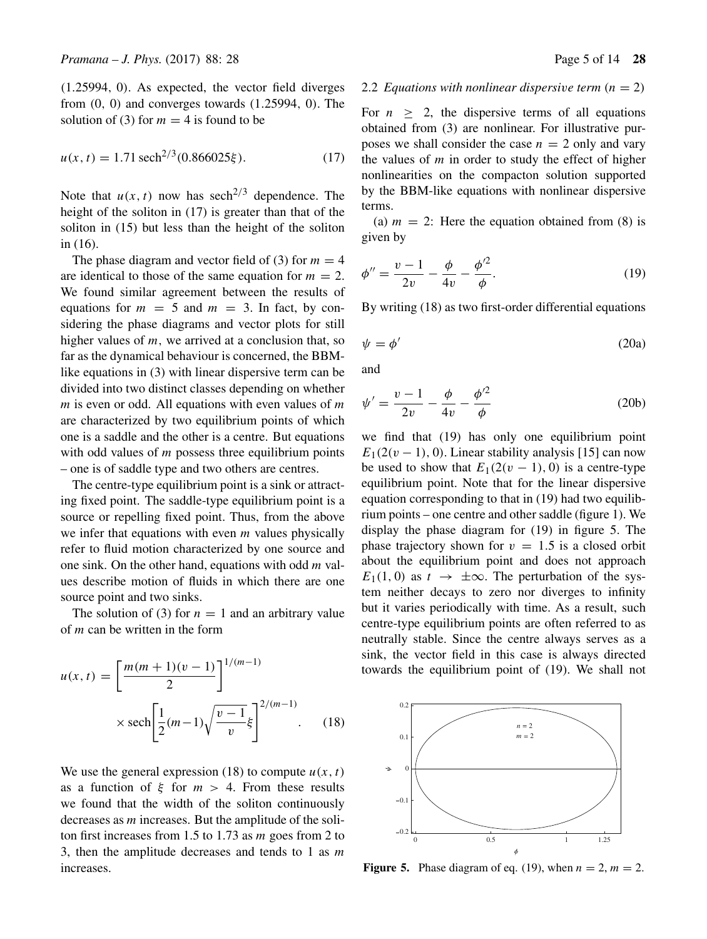(1.25994, 0). As expected, the vector field diverges from  $(0, 0)$  and converges towards  $(1.25994, 0)$ . The solution of (3) for  $m = 4$  is found to be

$$
u(x, t) = 1.71 \operatorname{sech}^{2/3}(0.866025\xi). \tag{17}
$$

Note that  $u(x, t)$  now has sech<sup>2/3</sup> dependence. The height of the soliton in (17) is greater than that of the soliton in (15) but less than the height of the soliton in (16).

The phase diagram and vector field of (3) for  $m = 4$ are identical to those of the same equation for  $m = 2$ . We found similar agreement between the results of equations for  $m = 5$  and  $m = 3$ . In fact, by considering the phase diagrams and vector plots for still higher values of  $m$ , we arrived at a conclusion that, so far as the dynamical behaviour is concerned, the BBMlike equations in (3) with linear dispersive term can be divided into two distinct classes depending on whether  $m$  is even or odd. All equations with even values of  $m$ are characterized by two equilibrium points of which one is a saddle and the other is a centre. But equations with odd values of  $m$  possess three equilibrium points – one is of saddle type and two others are centres.

The centre-type equilibrium point is a sink or attracting fixed point. The saddle-type equilibrium point is a source or repelling fixed point. Thus, from the above we infer that equations with even  $m$  values physically refer to fluid motion characterized by one source and one sink. On the other hand, equations with odd  $m$  values describe motion of fluids in which there are one source point and two sinks.

The solution of (3) for  $n = 1$  and an arbitrary value of m can be written in the form

$$
u(x,t) = \left[\frac{m(m+1)(v-1)}{2}\right]^{1/(m-1)}
$$
  
 
$$
\times \operatorname{sech}\left[\frac{1}{2}(m-1)\sqrt{\frac{v-1}{v}}\xi\right]^{2/(m-1)}.
$$
 (18)

We use the general expression (18) to compute  $u(x, t)$ as a function of  $\xi$  for  $m > 4$ . From these results we found that the width of the soliton continuously decreases as m increases. But the amplitude of the soliton first increases from 1.5 to 1.73 as m goes from 2 to 3, then the amplitude decreases and tends to 1 as  $m$ increases.

### 2.2 *Equations with nonlinear dispersive term*  $(n = 2)$

For  $n > 2$ , the dispersive terms of all equations obtained from (3) are nonlinear. For illustrative purposes we shall consider the case  $n = 2$  only and vary the values of  $m$  in order to study the effect of higher nonlinearities on the compacton solution supported by the BBM-like equations with nonlinear dispersive terms.

(a)  $m = 2$ : Here the equation obtained from (8) is given by

$$
\phi'' = \frac{v - 1}{2v} - \frac{\phi}{4v} - \frac{\phi'^2}{\phi}.
$$
\n(19)

By writing (18) as two first-order differential equations

$$
\psi = \phi' \tag{20a}
$$

and

$$
\psi' = \frac{v - 1}{2v} - \frac{\phi}{4v} - \frac{\phi'^2}{\phi}
$$
 (20b)

we find that (19) has only one equilibrium point  $E_1(2(v - 1), 0)$ . Linear stability analysis [15] can now be used to show that  $E_1(2(v - 1), 0)$  is a centre-type equilibrium point. Note that for the linear dispersive equation corresponding to that in (19) had two equilibrium points – one centre and other saddle (figure 1). We display the phase diagram for (19) in figure 5. The phase trajectory shown for  $v = 1.5$  is a closed orbit about the equilibrium point and does not approach  $E_1(1, 0)$  as  $t \to \pm \infty$ . The perturbation of the system neither decays to zero nor diverges to infinity but it varies periodically with time. As a result, such centre-type equilibrium points are often referred to as neutrally stable. Since the centre always serves as a sink, the vector field in this case is always directed towards the equilibrium point of (19). We shall not



**Figure 5.** Phase diagram of eq. (19), when  $n = 2$ ,  $m = 2$ .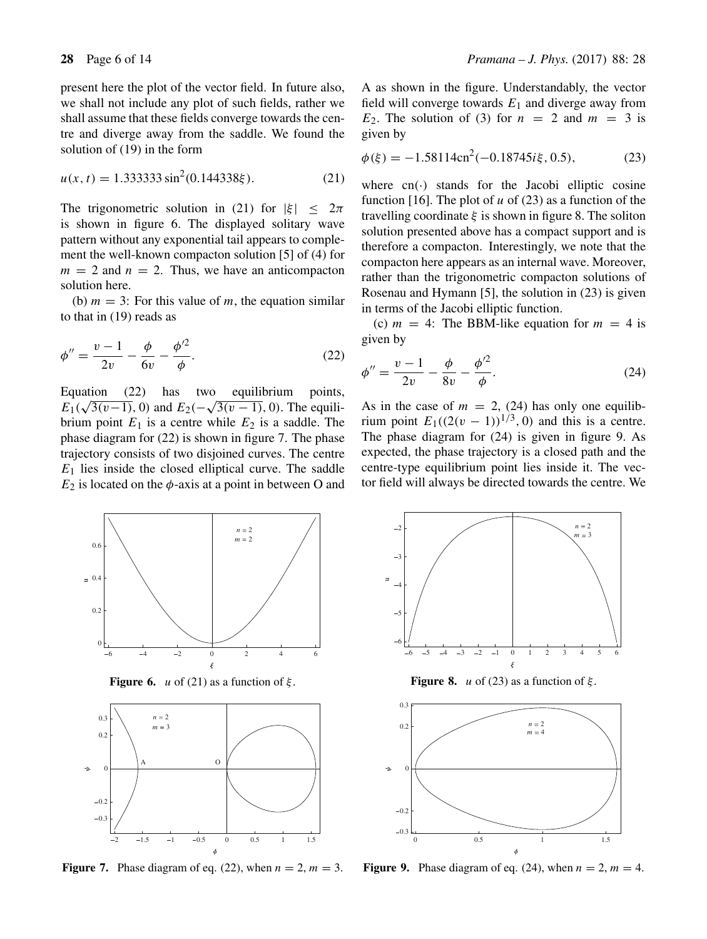present here the plot of the vector field. In future also, we shall not include any plot of such fields, rather we shall assume that these fields converge towards the centre and diverge away from the saddle. We found the solution of (19) in the form

$$
u(x, t) = 1.333333 \sin^2(0.144338\xi). \tag{21}
$$

The trigonometric solution in (21) for  $|\xi| < 2\pi$ is shown in figure 6. The displayed solitary wave pattern without any exponential tail appears to complement the well-known compacton solution [5] of (4) for  $m = 2$  and  $n = 2$ . Thus, we have an anticompacton solution here.

(b)  $m = 3$ : For this value of m, the equation similar to that in (19) reads as

$$
\phi'' = \frac{v - 1}{2v} - \frac{\phi}{6v} - \frac{\phi'^2}{\phi}.
$$
\n(22)

Equation (22) has two equilibrium points,  $E_1(\sqrt{3(v-1)}, 0)$  and  $E_2(-\sqrt{3(v-1)}, 0)$ . The equilibrium point  $E_1$  is a centre while  $E_2$  is a saddle. The phase diagram for (22) is shown in figure 7. The phase trajectory consists of two disjoined curves. The centre  $E_1$  lies inside the closed elliptical curve. The saddle  $E_2$  is located on the  $\phi$ -axis at a point in between O and A as shown in the figure. Understandably, the vector field will converge towards  $E_1$  and diverge away from  $E_2$ . The solution of (3) for  $n = 2$  and  $m = 3$  is given by

$$
\phi(\xi) = -1.58114 \text{cn}^2(-0.18745i\xi, 0.5),\tag{23}
$$

where  $cn(\cdot)$  stands for the Jacobi elliptic cosine function [16]. The plot of u of (23) as a function of the travelling coordinate  $\xi$  is shown in figure 8. The soliton solution presented above has a compact support and is therefore a compacton. Interestingly, we note that the compacton here appears as an internal wave. Moreover, rather than the trigonometric compacton solutions of Rosenau and Hymann [5], the solution in (23) is given in terms of the Jacobi elliptic function.

(c)  $m = 4$ : The BBM-like equation for  $m = 4$  is given by

$$
\phi'' = \frac{v - 1}{2v} - \frac{\phi}{8v} - \frac{\phi'^2}{\phi}.
$$
\n(24)

As in the case of  $m = 2$ , (24) has only one equilibrium point  $E_1((2(v - 1))^{1/3}, 0)$  and this is a centre. The phase diagram for (24) is given in figure 9. As expected, the phase trajectory is a closed path and the centre-type equilibrium point lies inside it. The vector field will always be directed towards the centre. We



**Figure 6.** u of (21) as a function of  $\xi$ .



**Figure 7.** Phase diagram of eq. (22), when  $n = 2$ ,  $m = 3$ .



**Figure 8.** *u* of (23) as a function of  $\xi$ .



**Figure 9.** Phase diagram of eq. (24), when  $n = 2$ ,  $m = 4$ .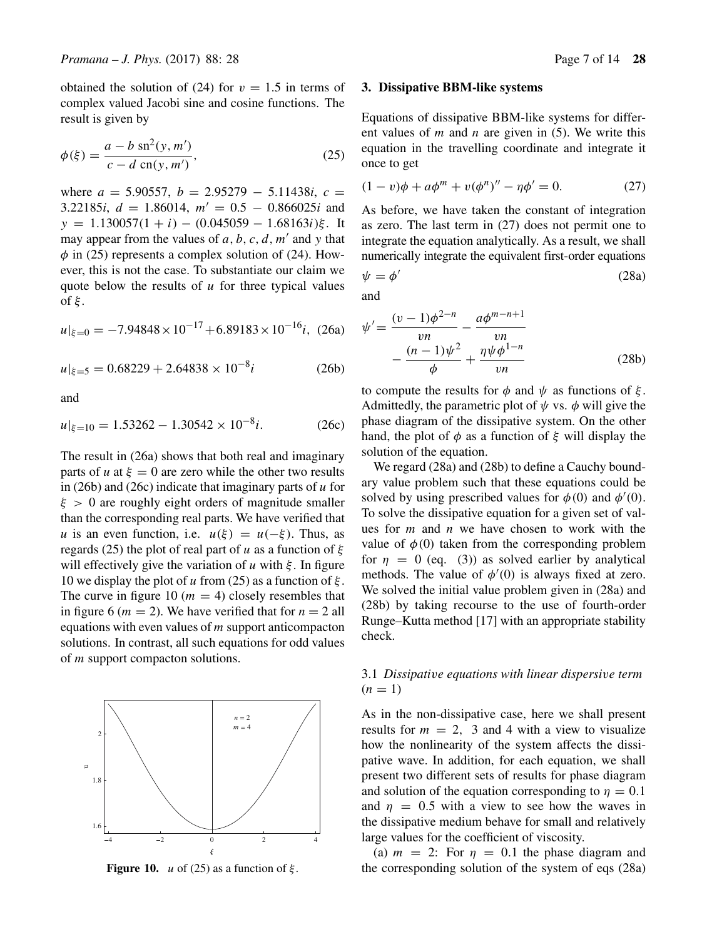obtained the solution of (24) for  $v = 1.5$  in terms of complex valued Jacobi sine and cosine functions. The result is given by

$$
\phi(\xi) = \frac{a - b \, \text{sn}^2(y, m')}{c - d \, \text{cn}(y, m')},\tag{25}
$$

where *a* = 5.90557, *b* = 2.95279 − 5.11438*i*, *c* = 3.22185*i*,  $d = 1.86014$ ,  $m' = 0.5 - 0.866025i$  and  $y = 1.130057(1 + i) - (0.045059 - 1.68163i)\xi$ . It may appear from the values of  $a, b, c, d, m'$  and y that  $\phi$  in (25) represents a complex solution of (24). However, this is not the case. To substantiate our claim we quote below the results of  $u$  for three typical values of ξ .

$$
u|_{\xi=0} = -7.94848 \times 10^{-17} + 6.89183 \times 10^{-16}i, (26a)
$$

 $|u|_{\xi=5} = 0.68229 + 2.64838 \times 10^{-8}i$  (26b)

and

$$
u|_{\xi=10} = 1.53262 - 1.30542 \times 10^{-8}i. \tag{26c}
$$

The result in (26a) shows that both real and imaginary parts of *u* at  $\xi = 0$  are zero while the other two results in (26b) and (26c) indicate that imaginary parts of  $u$  for  $\xi > 0$  are roughly eight orders of magnitude smaller than the corresponding real parts. We have verified that u is an even function, i.e.  $u(\xi) = u(-\xi)$ . Thus, as regards (25) the plot of real part of u as a function of  $\xi$ will effectively give the variation of  $u$  with  $\xi$ . In figure 10 we display the plot of u from (25) as a function of  $\xi$ . The curve in figure 10 ( $m = 4$ ) closely resembles that in figure 6 ( $m = 2$ ). We have verified that for  $n = 2$  all equations with even values of  $m$  support anticompacton solutions. In contrast, all such equations for odd values of m support compacton solutions.



**Figure 10.** *u* of (25) as a function of  $\xi$ .

#### **3. Dissipative BBM-like systems**

Equations of dissipative BBM-like systems for different values of  $m$  and  $n$  are given in (5). We write this equation in the travelling coordinate and integrate it once to get

$$
(1 - v)\phi + a\phi^m + v(\phi^n)'' - \eta\phi' = 0.
$$
 (27)

As before, we have taken the constant of integration as zero. The last term in (27) does not permit one to integrate the equation analytically. As a result, we shall numerically integrate the equivalent first-order equations

$$
\psi = \phi' \tag{28a}
$$

and

$$
\psi' = \frac{(v-1)\phi^{2-n}}{vn} - \frac{a\phi^{m-n+1}}{vn} - \frac{(n-1)\psi^2}{\phi} + \frac{\eta\psi\phi^{1-n}}{vn}
$$
\n(28b)

to compute the results for  $\phi$  and  $\psi$  as functions of  $\xi$ . Admittedly, the parametric plot of  $\psi$  vs.  $\phi$  will give the phase diagram of the dissipative system. On the other hand, the plot of  $\phi$  as a function of  $\xi$  will display the solution of the equation.

We regard (28a) and (28b) to define a Cauchy boundary value problem such that these equations could be solved by using prescribed values for  $\phi(0)$  and  $\phi'(0)$ . To solve the dissipative equation for a given set of values for  $m$  and  $n$  we have chosen to work with the value of  $\phi(0)$  taken from the corresponding problem for  $\eta = 0$  (eq. (3)) as solved earlier by analytical methods. The value of  $\phi'(0)$  is always fixed at zero. We solved the initial value problem given in  $(28a)$  and (28b) by taking recourse to the use of fourth-order Runge–Kutta method [17] with an appropriate stability check.

# 3.1 *Dissipati*v*e equations with linear dispersi*v*e term*  $(n = 1)$

As in the non-dissipative case, here we shall present results for  $m = 2$ , 3 and 4 with a view to visualize how the nonlinearity of the system affects the dissipative wave. In addition, for each equation, we shall present two different sets of results for phase diagram and solution of the equation corresponding to  $\eta = 0.1$ and  $\eta = 0.5$  with a view to see how the waves in the dissipative medium behave for small and relatively large values for the coefficient of viscosity.

(a)  $m = 2$ : For  $\eta = 0.1$  the phase diagram and the corresponding solution of the system of eqs (28a)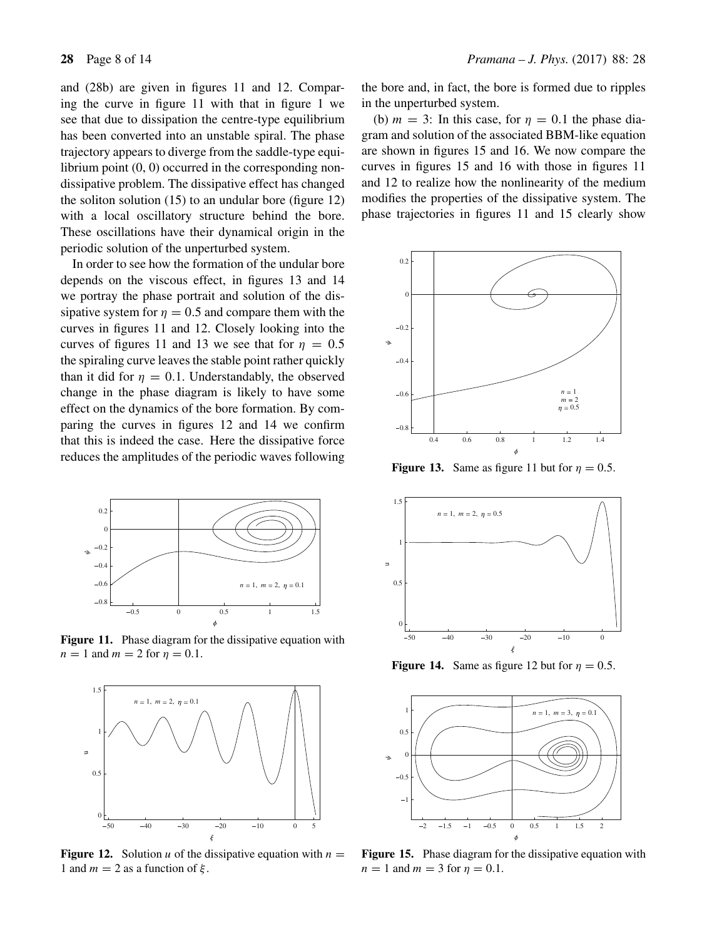and (28b) are given in figures 11 and 12. Comparing the curve in figure 11 with that in figure 1 we see that due to dissipation the centre-type equilibrium has been converted into an unstable spiral. The phase trajectory appears to diverge from the saddle-type equilibrium point  $(0, 0)$  occurred in the corresponding nondissipative problem. The dissipative effect has changed the soliton solution (15) to an undular bore (figure 12) with a local oscillatory structure behind the bore. These oscillations have their dynamical origin in the periodic solution of the unperturbed system.

In order to see how the formation of the undular bore depends on the viscous effect, in figures 13 and 14 we portray the phase portrait and solution of the dissipative system for  $\eta = 0.5$  and compare them with the curves in figures 11 and 12. Closely looking into the curves of figures 11 and 13 we see that for  $\eta = 0.5$ the spiraling curve leaves the stable point rather quickly than it did for  $\eta = 0.1$ . Understandably, the observed change in the phase diagram is likely to have some effect on the dynamics of the bore formation. By comparing the curves in figures 12 and 14 we confirm that this is indeed the case. Here the dissipative force reduces the amplitudes of the periodic waves following



Figure 11. Phase diagram for the dissipative equation with  $n = 1$  and  $m = 2$  for  $\eta = 0.1$ .



**Figure 12.** Solution u of the dissipative equation with  $n =$ 1 and  $m = 2$  as a function of  $\xi$ .

the bore and, in fact, the bore is formed due to ripples in the unperturbed system.

(b)  $m = 3$ : In this case, for  $\eta = 0.1$  the phase diagram and solution of the associated BBM-like equation are shown in figures 15 and 16. We now compare the curves in figures 15 and 16 with those in figures 11 and 12 to realize how the nonlinearity of the medium modifies the properties of the dissipative system. The phase trajectories in figures 11 and 15 clearly show



**Figure 13.** Same as figure 11 but for  $\eta = 0.5$ .



**Figure 14.** Same as figure 12 but for  $\eta = 0.5$ .



**Figure 15.** Phase diagram for the dissipative equation with  $n = 1$  and  $m = 3$  for  $\eta = 0.1$ .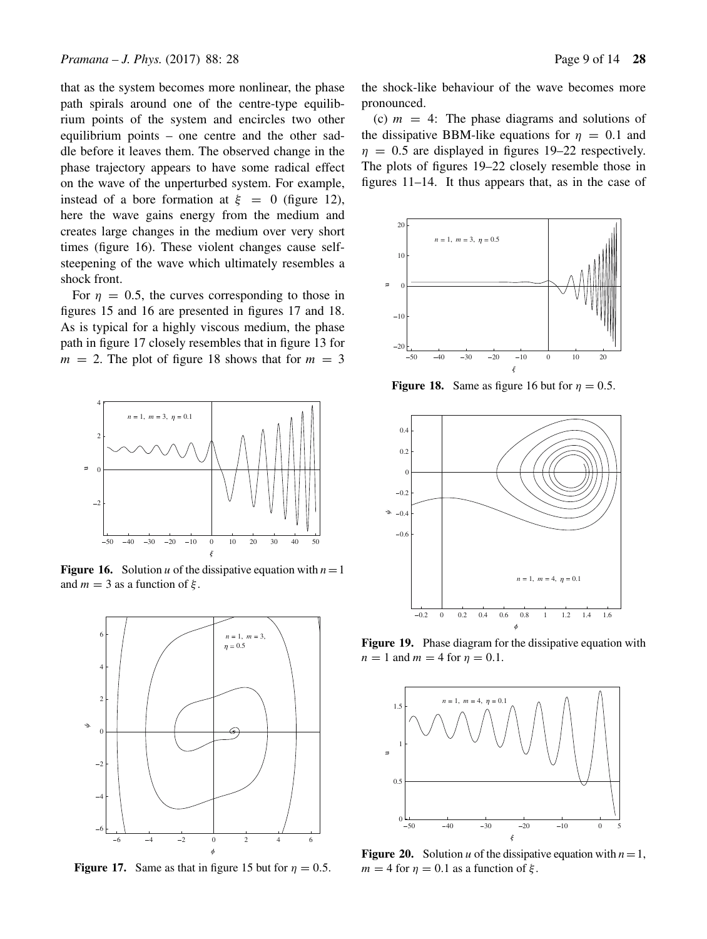that as the system becomes more nonlinear, the phase path spirals around one of the centre-type equilibrium points of the system and encircles two other equilibrium points – one centre and the other saddle before it leaves them. The observed change in the phase trajectory appears to have some radical effect on the wave of the unperturbed system. For example, instead of a bore formation at  $\xi = 0$  (figure 12), here the wave gains energy from the medium and creates large changes in the medium over very short times (figure 16). These violent changes cause selfsteepening of the wave which ultimately resembles a shock front.

For  $\eta = 0.5$ , the curves corresponding to those in figures 15 and 16 are presented in figures 17 and 18. As is typical for a highly viscous medium, the phase path in figure 17 closely resembles that in figure 13 for  $m = 2$ . The plot of figure 18 shows that for  $m = 3$ 



**Figure 16.** Solution u of the dissipative equation with  $n=1$ and  $m = 3$  as a function of  $\xi$ .



**Figure 17.** Same as that in figure 15 but for  $\eta = 0.5$ .

the shock-like behaviour of the wave becomes more pronounced.

(c)  $m = 4$ : The phase diagrams and solutions of the dissipative BBM-like equations for  $\eta = 0.1$  and  $\eta = 0.5$  are displayed in figures 19–22 respectively. The plots of figures 19–22 closely resemble those in figures 11–14. It thus appears that, as in the case of



**Figure 18.** Same as figure 16 but for  $\eta = 0.5$ .



Figure 19. Phase diagram for the dissipative equation with  $n = 1$  and  $m = 4$  for  $n = 0.1$ .



**Figure 20.** Solution u of the dissipative equation with  $n=1$ ,  $m = 4$  for  $\eta = 0.1$  as a function of ξ.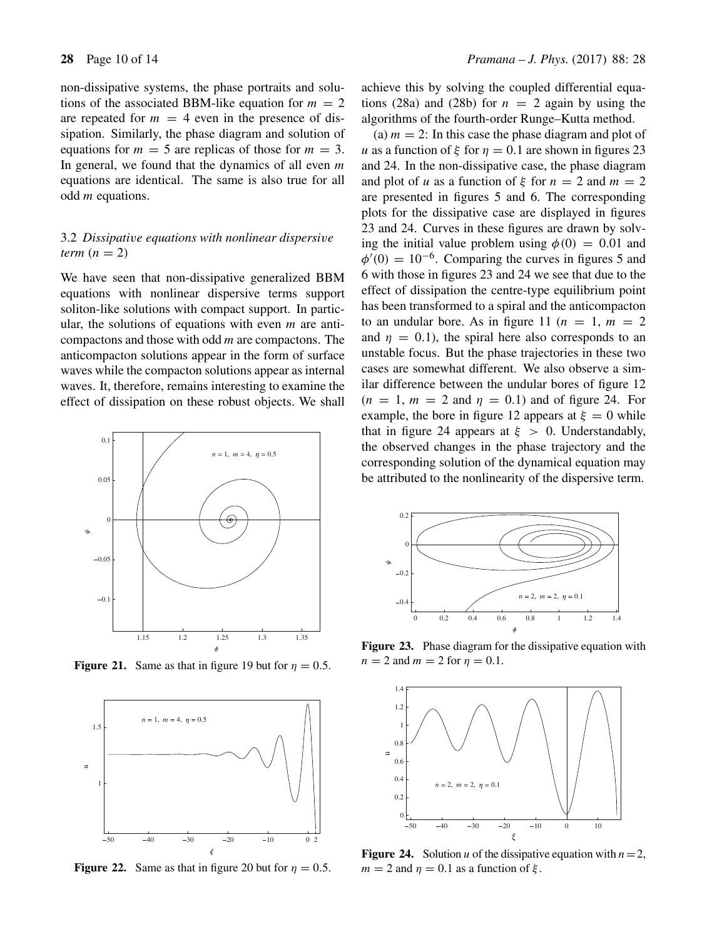non-dissipative systems, the phase portraits and solutions of the associated BBM-like equation for  $m = 2$ are repeated for  $m = 4$  even in the presence of dissipation. Similarly, the phase diagram and solution of equations for  $m = 5$  are replicas of those for  $m = 3$ . In general, we found that the dynamics of all even  $m$ equations are identical. The same is also true for all odd m equations.

# 3.2 *Dissipati*v*e equations with nonlinear dispersi*v*e term*  $(n = 2)$

We have seen that non-dissipative generalized BBM equations with nonlinear dispersive terms support soliton-like solutions with compact support. In particular, the solutions of equations with even  $m$  are anticompactons and those with odd  $m$  are compactons. The anticompacton solutions appear in the form of surface waves while the compacton solutions appear as internal waves. It, therefore, remains interesting to examine the effect of dissipation on these robust objects. We shall



**Figure 21.** Same as that in figure 19 but for  $\eta = 0.5$ .



**Figure 22.** Same as that in figure 20 but for  $\eta = 0.5$ .

achieve this by solving the coupled differential equations (28a) and (28b) for  $n = 2$  again by using the algorithms of the fourth-order Runge–Kutta method.

(a)  $m = 2$ : In this case the phase diagram and plot of u as a function of  $\xi$  for  $\eta = 0.1$  are shown in figures 23 and 24. In the non-dissipative case, the phase diagram and plot of u as a function of  $\xi$  for  $n = 2$  and  $m = 2$ are presented in figures 5 and 6. The corresponding plots for the dissipative case are displayed in figures 23 and 24. Curves in these figures are drawn by solving the initial value problem using  $\phi(0) = 0.01$  and  $\phi'(0) = 10^{-6}$ . Comparing the curves in figures 5 and 6 with those in figures 23 and 24 we see that due to the effect of dissipation the centre-type equilibrium point has been transformed to a spiral and the anticompacton to an undular bore. As in figure 11 ( $n = 1$ ,  $m = 2$ ) and  $\eta = 0.1$ , the spiral here also corresponds to an unstable focus. But the phase trajectories in these two cases are somewhat different. We also observe a similar difference between the undular bores of figure 12  $(n = 1, m = 2 \text{ and } \eta = 0.1)$  and of figure 24. For example, the bore in figure 12 appears at  $\xi = 0$  while that in figure 24 appears at  $\xi > 0$ . Understandably, the observed changes in the phase trajectory and the corresponding solution of the dynamical equation may be attributed to the nonlinearity of the dispersive term.



Figure 23. Phase diagram for the dissipative equation with  $n = 2$  and  $m = 2$  for  $\eta = 0.1$ .



**Figure 24.** Solution u of the dissipative equation with  $n=2$ ,  $m = 2$  and  $\eta = 0.1$  as a function of ξ.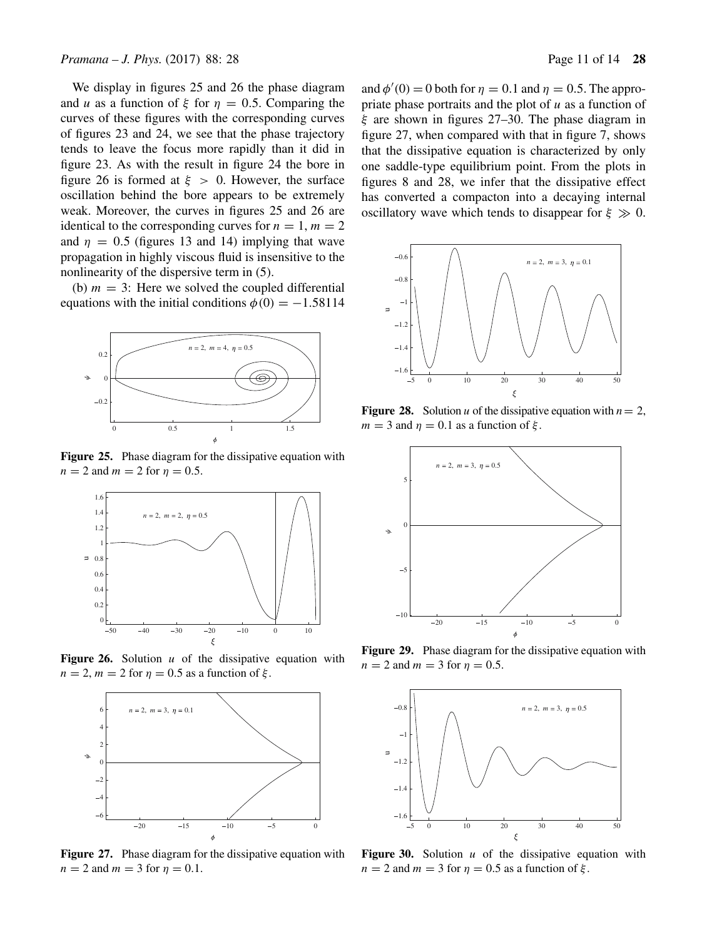We display in figures 25 and 26 the phase diagram and u as a function of  $\xi$  for  $\eta = 0.5$ . Comparing the curves of these figures with the corresponding curves of figures 23 and 24, we see that the phase trajectory tends to leave the focus more rapidly than it did in figure 23. As with the result in figure 24 the bore in figure 26 is formed at  $\xi > 0$ . However, the surface oscillation behind the bore appears to be extremely weak. Moreover, the curves in figures 25 and 26 are identical to the corresponding curves for  $n = 1$ ,  $m = 2$ and  $\eta = 0.5$  (figures 13 and 14) implying that wave propagation in highly viscous fluid is insensitive to the nonlinearity of the dispersive term in (5).

(b)  $m = 3$ : Here we solved the coupled differential equations with the initial conditions  $\phi(0) = -1.58114$ 



**Figure 25.** Phase diagram for the dissipative equation with  $n = 2$  and  $m = 2$  for  $\eta = 0.5$ .



**Figure 26.** Solution  $u$  of the dissipative equation with  $n = 2$ ,  $m = 2$  for  $\eta = 0.5$  as a function of  $\xi$ .



Figure 27. Phase diagram for the dissipative equation with  $n = 2$  and  $m = 3$  for  $\eta = 0.1$ .

and  $\phi'(0) = 0$  both for  $\eta = 0.1$  and  $\eta = 0.5$ . The appropriate phase portraits and the plot of  $u$  as a function of  $\xi$  are shown in figures 27–30. The phase diagram in figure 27, when compared with that in figure 7, shows that the dissipative equation is characterized by only one saddle-type equilibrium point. From the plots in figures 8 and 28, we infer that the dissipative effect has converted a compacton into a decaying internal oscillatory wave which tends to disappear for  $\xi \gg 0$ .



**Figure 28.** Solution u of the dissipative equation with  $n = 2$ ,  $m = 3$  and  $\eta = 0.1$  as a function of ξ.



**Figure 29.** Phase diagram for the dissipative equation with  $n = 2$  and  $m = 3$  for  $\eta = 0.5$ .



**Figure 30.** Solution u of the dissipative equation with  $n = 2$  and  $m = 3$  for  $\eta = 0.5$  as a function of  $\xi$ .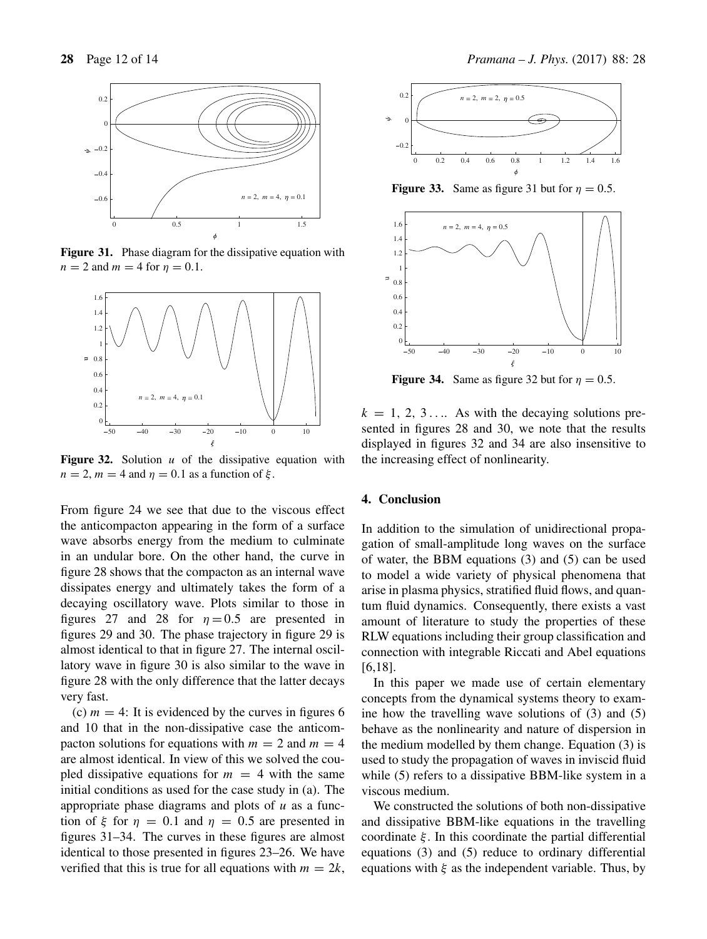

Figure 31. Phase diagram for the dissipative equation with  $n = 2$  and  $m = 4$  for  $n = 0.1$ .



**Figure 32.** Solution u of the dissipative equation with  $n = 2$ ,  $m = 4$  and  $\eta = 0.1$  as a function of  $\xi$ .

From figure 24 we see that due to the viscous effect the anticompacton appearing in the form of a surface wave absorbs energy from the medium to culminate in an undular bore. On the other hand, the curve in figure 28 shows that the compacton as an internal wave dissipates energy and ultimately takes the form of a decaying oscillatory wave. Plots similar to those in figures 27 and 28 for  $\eta = 0.5$  are presented in figures 29 and 30. The phase trajectory in figure 29 is almost identical to that in figure 27. The internal oscillatory wave in figure 30 is also similar to the wave in figure 28 with the only difference that the latter decays very fast.

(c)  $m = 4$ : It is evidenced by the curves in figures 6 and 10 that in the non-dissipative case the anticompacton solutions for equations with  $m = 2$  and  $m = 4$ are almost identical. In view of this we solved the coupled dissipative equations for  $m = 4$  with the same initial conditions as used for the case study in (a). The appropriate phase diagrams and plots of  $u$  as a function of  $\xi$  for  $\eta = 0.1$  and  $\eta = 0.5$  are presented in figures 31–34. The curves in these figures are almost identical to those presented in figures 23–26. We have verified that this is true for all equations with  $m = 2k$ ,



**Figure 33.** Same as figure 31 but for  $\eta = 0.5$ .



**Figure 34.** Same as figure 32 but for  $\eta = 0.5$ .

 $k = 1, 2, 3, \dots$  As with the decaying solutions presented in figures 28 and 30, we note that the results displayed in figures 32 and 34 are also insensitive to the increasing effect of nonlinearity.

# **4. Conclusion**

In addition to the simulation of unidirectional propagation of small-amplitude long waves on the surface of water, the BBM equations (3) and (5) can be used to model a wide variety of physical phenomena that arise in plasma physics, stratified fluid flows, and quantum fluid dynamics. Consequently, there exists a vast amount of literature to study the properties of these RLW equations including their group classification and connection with integrable Riccati and Abel equations [6,18].

In this paper we made use of certain elementary concepts from the dynamical systems theory to examine how the travelling wave solutions of (3) and (5) behave as the nonlinearity and nature of dispersion in the medium modelled by them change. Equation (3) is used to study the propagation of waves in inviscid fluid while (5) refers to a dissipative BBM-like system in a viscous medium.

We constructed the solutions of both non-dissipative and dissipative BBM-like equations in the travelling coordinate  $\xi$ . In this coordinate the partial differential equations (3) and (5) reduce to ordinary differential equations with  $\xi$  as the independent variable. Thus, by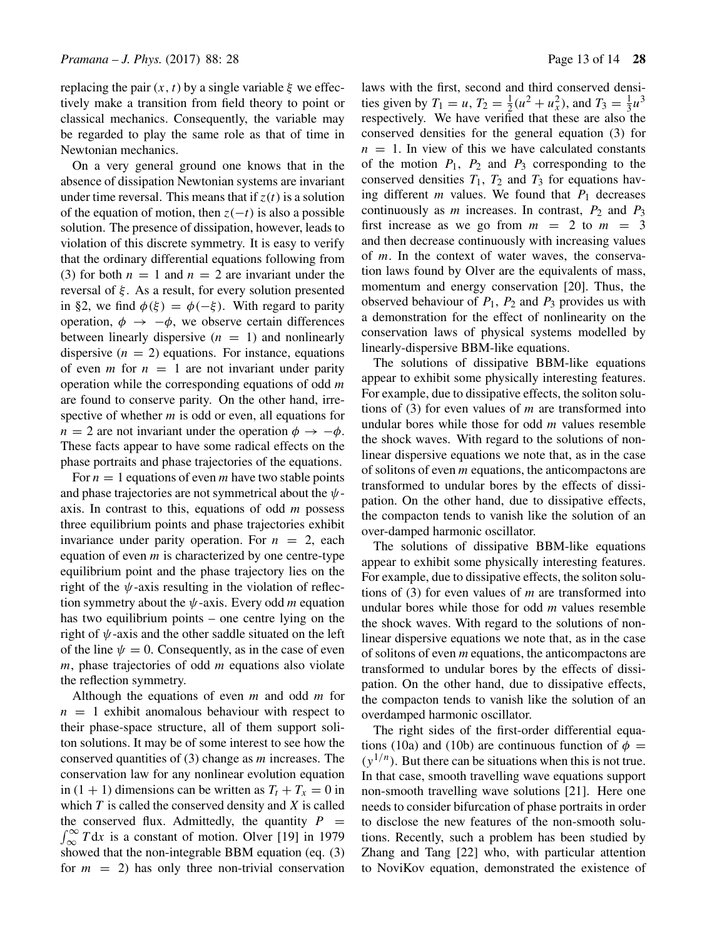replacing the pair  $(x, t)$  by a single variable  $\xi$  we effectively make a transition from field theory to point or classical mechanics. Consequently, the variable may be regarded to play the same role as that of time in Newtonian mechanics.

On a very general ground one knows that in the absence of dissipation Newtonian systems are invariant under time reversal. This means that if  $z(t)$  is a solution of the equation of motion, then  $z(-t)$  is also a possible solution. The presence of dissipation, however, leads to violation of this discrete symmetry. It is easy to verify that the ordinary differential equations following from (3) for both  $n = 1$  and  $n = 2$  are invariant under the reversal of  $\xi$ . As a result, for every solution presented in §2, we find  $\phi(\xi) = \phi(-\xi)$ . With regard to parity operation,  $\phi \rightarrow -\phi$ , we observe certain differences between linearly dispersive  $(n = 1)$  and nonlinearly dispersive  $(n = 2)$  equations. For instance, equations of even *m* for  $n = 1$  are not invariant under parity operation while the corresponding equations of odd  $m$ are found to conserve parity. On the other hand, irrespective of whether  $m$  is odd or even, all equations for  $n = 2$  are not invariant under the operation  $\phi \rightarrow -\phi$ . These facts appear to have some radical effects on the phase portraits and phase trajectories of the equations.

For  $n = 1$  equations of even m have two stable points and phase trajectories are not symmetrical about the  $\psi$ axis. In contrast to this, equations of odd  $m$  possess three equilibrium points and phase trajectories exhibit invariance under parity operation. For  $n = 2$ , each equation of even  $m$  is characterized by one centre-type equilibrium point and the phase trajectory lies on the right of the  $\psi$ -axis resulting in the violation of reflection symmetry about the  $\psi$ -axis. Every odd *m* equation has two equilibrium points – one centre lying on the right of  $\psi$ -axis and the other saddle situated on the left of the line  $\psi = 0$ . Consequently, as in the case of even  $m$ , phase trajectories of odd  $m$  equations also violate the reflection symmetry.

Although the equations of even  $m$  and odd  $m$  for  $n = 1$  exhibit anomalous behaviour with respect to their phase-space structure, all of them support soliton solutions. It may be of some interest to see how the conserved quantities of  $(3)$  change as m increases. The conservation law for any nonlinear evolution equation in  $(1 + 1)$  dimensions can be written as  $T_t + T_x = 0$  in which  $T$  is called the conserved density and  $X$  is called the conserved flux. Admittedly, the quantity  $P = \int_{\infty}^{\infty} T dx$  is a constant of motion. Olver [19] in 1979 showed that the non-integrable BBM equation (eq. (3) for  $m = 2$ ) has only three non-trivial conservation laws with the first, second and third conserved densities given by  $T_1 = u$ ,  $T_2 = \frac{1}{2}(u^2 + u_x^2)$ , and  $T_3 = \frac{1}{3}u^3$ respectively. We have verified that these are also the conserved densities for the general equation (3) for  $n = 1$ . In view of this we have calculated constants of the motion  $P_1$ ,  $P_2$  and  $P_3$  corresponding to the conserved densities  $T_1$ ,  $T_2$  and  $T_3$  for equations having different  $m$  values. We found that  $P_1$  decreases continuously as  $m$  increases. In contrast,  $P_2$  and  $P_3$ first increase as we go from  $m = 2$  to  $m = 3$ and then decrease continuously with increasing values of m. In the context of water waves, the conservation laws found by Olver are the equivalents of mass, momentum and energy conservation [20]. Thus, the observed behaviour of  $P_1$ ,  $P_2$  and  $P_3$  provides us with a demonstration for the effect of nonlinearity on the conservation laws of physical systems modelled by linearly-dispersive BBM-like equations.

The solutions of dissipative BBM-like equations appear to exhibit some physically interesting features. For example, due to dissipative effects, the soliton solutions of (3) for even values of  $m$  are transformed into undular bores while those for odd  $m$  values resemble the shock waves. With regard to the solutions of nonlinear dispersive equations we note that, as in the case of solitons of even  $m$  equations, the anticompactons are transformed to undular bores by the effects of dissipation. On the other hand, due to dissipative effects, the compacton tends to vanish like the solution of an over-damped harmonic oscillator.

The solutions of dissipative BBM-like equations appear to exhibit some physically interesting features. For example, due to dissipative effects, the soliton solutions of (3) for even values of *m* are transformed into undular bores while those for odd *m* values resemble the shock waves. With regard to the solutions of nonlinear dispersive equations we note that, as in the case of solitons of even *m* equations, the anticompactons are transformed to undular bores by the effects of dissipation. On the other hand, due to dissipative effects, the compacton tends to vanish like the solution of an overdamped harmonic oscillator.

The right sides of the first-order differential equations (10a) and (10b) are continuous function of  $\phi =$  $(y^{1/n})$ . But there can be situations when this is not true. In that case, smooth travelling wave equations support non-smooth travelling wave solutions [21]. Here one needs to consider bifurcation of phase portraits in order to disclose the new features of the non-smooth solutions. Recently, such a problem has been studied by Zhang and Tang [22] who, with particular attention to NoviKov equation, demonstrated the existence of